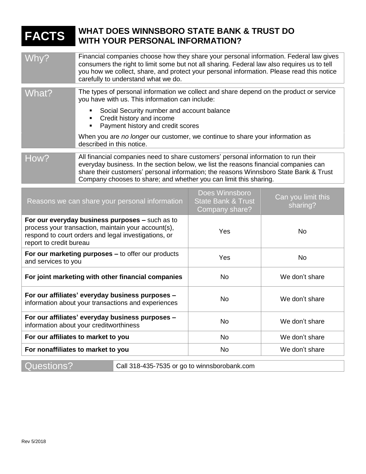| <b>FACTS</b>                                                                                                                                                                              | <b>WHAT DOES WINNSBORO STATE BANK &amp; TRUST DO</b><br><b>WITH YOUR PERSONAL INFORMATION?</b>                                                                                                                                                                                                                                           |                                                                   |                                |
|-------------------------------------------------------------------------------------------------------------------------------------------------------------------------------------------|------------------------------------------------------------------------------------------------------------------------------------------------------------------------------------------------------------------------------------------------------------------------------------------------------------------------------------------|-------------------------------------------------------------------|--------------------------------|
| Whv?                                                                                                                                                                                      | Financial companies choose how they share your personal information. Federal law gives<br>consumers the right to limit some but not all sharing. Federal law also requires us to tell<br>you how we collect, share, and protect your personal information. Please read this notice<br>carefully to understand what we do.                |                                                                   |                                |
| What?                                                                                                                                                                                     | The types of personal information we collect and share depend on the product or service<br>you have with us. This information can include:                                                                                                                                                                                               |                                                                   |                                |
|                                                                                                                                                                                           | Social Security number and account balance<br>Credit history and income<br>Payment history and credit scores<br>٠                                                                                                                                                                                                                        |                                                                   |                                |
|                                                                                                                                                                                           | When you are no longer our customer, we continue to share your information as<br>described in this notice.                                                                                                                                                                                                                               |                                                                   |                                |
| How?                                                                                                                                                                                      | All financial companies need to share customers' personal information to run their<br>everyday business. In the section below, we list the reasons financial companies can<br>share their customers' personal information; the reasons Winnsboro State Bank & Trust<br>Company chooses to share; and whether you can limit this sharing. |                                                                   |                                |
|                                                                                                                                                                                           | Reasons we can share your personal information                                                                                                                                                                                                                                                                                           | Does Winnsboro<br><b>State Bank &amp; Trust</b><br>Company share? | Can you limit this<br>sharing? |
| For our everyday business purposes - such as to<br>process your transaction, maintain your account(s),<br>respond to court orders and legal investigations, or<br>report to credit bureau |                                                                                                                                                                                                                                                                                                                                          | Yes                                                               | <b>No</b>                      |
| For our marketing purposes - to offer our products<br>and services to you                                                                                                                 |                                                                                                                                                                                                                                                                                                                                          | Yes                                                               | <b>No</b>                      |
| For joint marketing with other financial companies                                                                                                                                        |                                                                                                                                                                                                                                                                                                                                          | <b>No</b>                                                         | We don't share                 |
| For our affiliates' everyday business purposes -<br>information about your transactions and experiences                                                                                   |                                                                                                                                                                                                                                                                                                                                          | No                                                                | We don't share                 |
| For our affiliates' everyday business purposes -<br>information about your creditworthiness                                                                                               |                                                                                                                                                                                                                                                                                                                                          | <b>No</b>                                                         | We don't share                 |
| For our affiliates to market to you                                                                                                                                                       |                                                                                                                                                                                                                                                                                                                                          | No                                                                | We don't share                 |
| For nonaffiliates to market to you                                                                                                                                                        |                                                                                                                                                                                                                                                                                                                                          | No                                                                | We don't share                 |

Questions? Call 318-435-7535 or go to winnsborobank.com